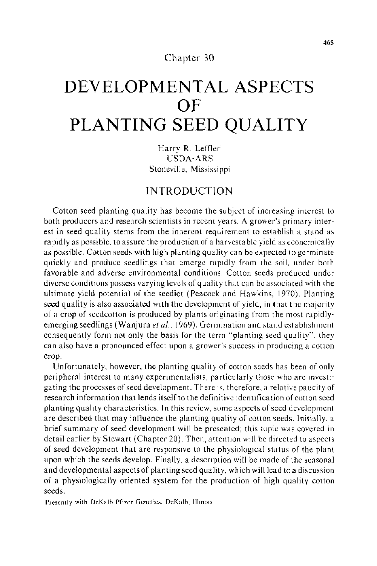#### Chapter 30

# **DEVELOPMENTAL ASPECTS OF PLANTING SEED QUALITY**

Harry R. Leffler' USDA-ARS Stoneville, Mississippi

## **INTRODUCTION**

Cotton seed planting quality has become the subject of increasing interest to both producers and research scientists in recent years. A grower's primary interest in seed quality stems from the inherent requirement to establish a stand as rapidly as possible. to assure the production of a harvesta ble yield as economically as possible. Cotton seeds with high planting quality can be expected to germinate quickly and produce seedlings that emerge rapidly from the soil, under both favorable and adverse environmental conditions. Cotton seeds produced under diverse conditions possess varying levels of quality that can be associated with the ultimate yield potential of the seedlot (Peacock and Hawkins, 1970). Planting seed quality is also associated With the development of yield, in that the majority of a crop of seedcotton is produced by plants originating from the most rapidlyemerging seedlings (Wanjura *et al.,* 1969). Germination and stand establishment consequently form not only the basis for the term "planting seed quality"', they can also have a pronounced effect upon a grower's success in producing a cotton crop.

Unfortunately, however, the planting quality of cotton seeds has been of only peripheral interest to many expenmentalists, particularly those who are Investigating the processes of seed development. There is, therefore, a relative paucity of research information that lends itself to the definitive identification of cotton seed planting quality characteristics. In this review, some aspects of seed development are described that may influence the planting quality of cotton seeds. 1 nitially, a brief summary of seed development will be presented; this topic was covered in detail earlier by Stewart (Chapter 20). Then, attention will be directed to aspects of seed development that are responsive to the physiological status of the plant upon which the seeds develop. Finally, a descnption will be made of the seasonal and developmental aspects of planting seed quality, which will lead to a discussion of a physiologically oriented system for the production of high quality cotton seeds.

'Presently with DeKalb-Pfizer Genetics, DeKalb, Illinois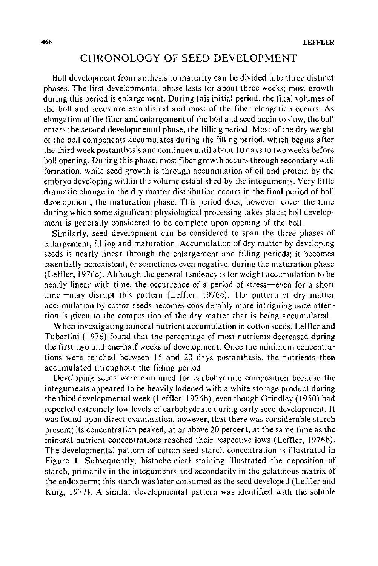## CHRONOLOGY OF SEED DEVELOPMENT

Boll development from anthesis to maturity can be divided into three distinct phases. The first developmental phase lasts for about three weeks; most growth during this period is enlargement. During this initial period, the final volumes of the boll and seeds are established and most of the fiber elongation occurs. As elongation of the fiber and enlargement of the boll and seed begin to slow, the boll enters the second developmental phase, the filling period. Most of the dry weight of the boll components accumulates during the filling period, which begins after the third week postanthesis and continues until about I 0 days to two weeks before boll opening. During this phase, most fiber growth occurs through secondary wall formation, while seed growth is through accumulation of oil and protein by the embryo developing within the volume established by the integuments. Very little dramatic change in the dry matter distribution occurs in the final period of boll development, the maturation phase. This period does, however, cover the time during which some significant physiological processing takes place; boll development is generally considered to be complete upon opening of the boll.

Similarly, seed development can be considered to span the three phases of enlargement, filling and maturation. Accumulation of dry matter by developing seeds is nearly linear through the enlargement and filling periods; it becomes essentially nonexistent, or sometimes even negative, during the maturation phase (Leffler, 1976c). Although the general tendency is for weight accumulation to be nearly linear with time, the occurrence of a period of stress-even for a short time-may disrupt this pattern (Leffler, 1976c). The pattern of dry matter accumulation by cotton seeds becomes considerably more intriguing once attention is given to the composition of the dry matter that is being accumulated.

When investigating mineral nutrient accumulation in cotton seeds, Leffler and Tubertini {1976) found that the percentage of most nutrients decreased during the first two and one-half weeks of development. Once the minimum concentrations were reached between 15 and 20 days postanthesis, the nutrients then accumulated throughout the filling period.

Developing seeds were examined for carbohydrate composition because the integuments appeared to be heavily ladened with a white storage product during the third developmental week (Leffler, l976b), even though Grindley ( 1950) had reported extremely low levels of carbohydrate during early seed development. It was found upon direct examination, however, that there was considerable starch present; its concentration peaked, at or above 20 percent, at the same time as the mineral nutrient concentrations reached their respective lows (Leffler, l976b). The developmental pattern of cotton seed starch concentration is illustrated in Figure 1. Subsequently, histochemical staining illustrated the deposition of starch, primarily in the integuments and secondarily in the gelatinous matrix of the endosperm; this starch was later consumed as the seed developed (Leffler and King, 1977). A similar developmental pattern was identified with the soluble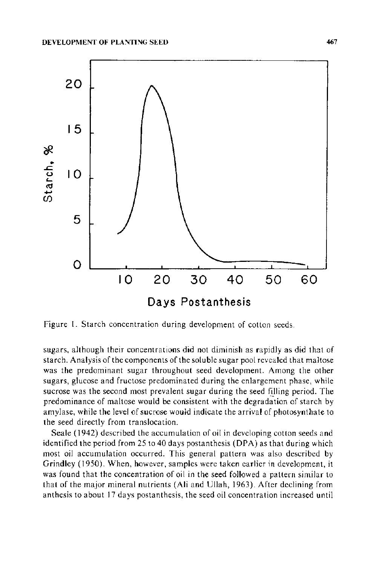

Figure 1. Starch concentration during development of cotton seeds.

sugars, although their concentrations did not diminish as rapidly as did that of starch. Analysis of the components of the soluble sugar pool revealed that maltose was the predominant sugar throughout seed development. Among the other sugars, glucose and fructose predominated during the enlargement phase, while sucrose was the second most prevalent sugar during the seed filling period. The predominance of maltose would be consistent with the degradation of starch by amylase, while the level of sucrose would indicate the arrival of photosynthate to the seed directly from translocation.

Seale (1942) described the accumulation of oil in developing cotton seeds and identified the period from 25 to 40 days postanthesis (DPA) as that during which most oil accumulation occurred. This general pattern was also described by Grindley ( 1950). When, however, samples were taken earlier in development, it was found that the concentration of oil in the seed followed a pattern similar to that of the major mineral nutrients (Ali and Ullah, 1963). After declining from anthesis to about 17 days postanthesis, the seed oil concentration increased until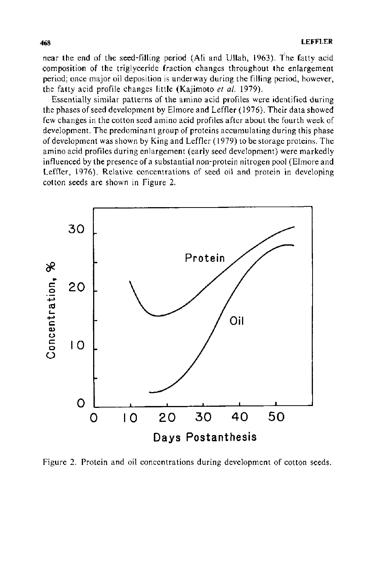near the end of the seed-filling period (Ali and Ullah, 1963 ). The fatty acid composition of the triglyceride fraction changes throughout the enlargement period; once major oil deposition is underway during the filling period, however, the fatty acid profile changes little (Kajimoto *et al.* 1979).

Essentially similar patterns of the amino acid profiles were identified during the phases of seed development by Elmore and Leffler ( 1976). Their data showed few changes in the cotton seed amino acid profiles after about the fourth week of development. The predominant group of proteins accumulating during this phase of development was shown by King and Leffler ( 1979) to be storage proteins. The amino acid profiles during enlargement (early seed development) were markedly influenced by the presence of a substantial non-protein nitrogen pool (Elmore and Leffler, 1976). Relative concentrations of seed oil and protein in developing cotton seeds are shown in Figure 2.



Figure 2. Protein and oil concentrations during development of cotton seeds.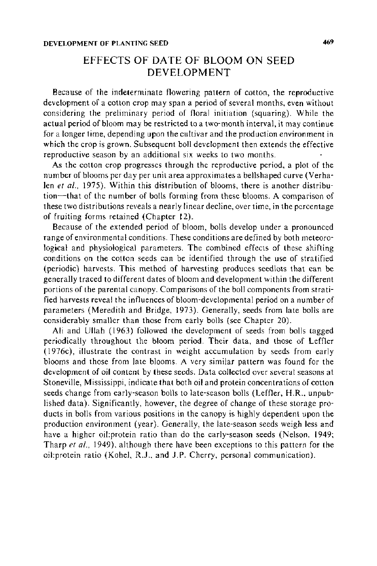# EFFECTS OF DATE OF BLOOM ON SEED DEVELOPMENT

Because of the indeterminate flowering pattern of cotton, the reproductive development of a cotton crop may span a period of several months, even without considering the preliminary period of floral initiation (squaring). While the actual period of bloom may be restricted to a two-month interval, it may continue for a longer time, depending upon the cultivar and the production environment in which the crop is grown. Subsequent boll development then extends the effective reproductive season by an additional six weeks to two months.

As the cotton crop progresses through the reproductive period, a plot of the number of blooms per day per unit area approximates a bellshaped curve (Verhalen et al., 1975). Within this distribution of blooms, there is another distribution-that of the number of bolls forming from these blooms. A comparison of these two distributions reveals a nearly linear decline, over time, in the percentage of fruiting forms retained (Chapter 12).

Because of the extended period of bloom, bolls develop under a pronounced range of environmental conditions. These conditions are defined by both meteorological and physiological parameters. The combined effects of these shifting conditions on the cotton seeds can be identified through the use of stratified (periodic) harvests. This method of harvesting produces seedlots that can be generally traced to different dates of bloom and development within the different portions of the parental canopy. Comparisons of the boll components from stratified harvests reveal the influences of bloom-developmental period on a number of parameters (Meredith and Bridge, 1973). Generally, seeds from late bolls are considerably smaller than those from early bolls (see Chapter 20).

Ali and Ullah ( 1963) followed the development of seeds from bolls tagged periodically throughout the bloom period. Their data, and those of Leffler (1976c), illustrate the contrast in weight accumulation by seeds from early blooms and those from late blooms. A very similar pattern was found for the development of oil content by these seeds. Data collected over several seasons at Stoneville, Mississippi, indicate that both oil and protein concentrations of cotton seeds change from early-season bolls to late-season bolls (Leffler, H.R., unpublished data). Significantly, however, the degree of change of these storage products in bolls from various positions in the canopy is highly dependent upon the production environment (year). Generally, the late-season seeds weigh less and have a higher oil:protein ratio than do the early-season seeds (Nelson, 1949; Tharp *et a/.,* 1949), although there have been exceptions to this pattern for the oil:protein ratio (Kohel, R.J., and J.P. Cherry, personal communication).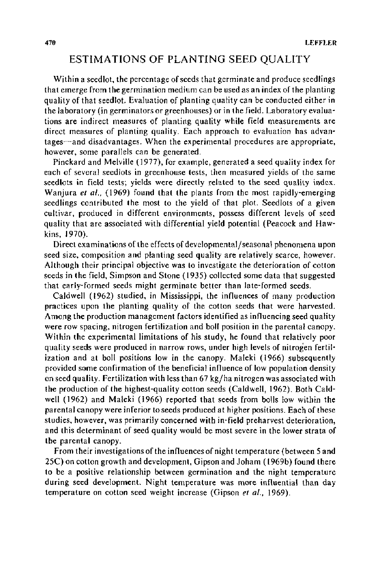# ESTIMATIONS OF PLANTING SEED QUALITY

Within a seed lot, the percentage of seeds that germinate and produce seedlings that emerge from the germination medium can be used as an index of the planting quality of that seed lot. Evaluation of planting quality can be conducted either in the laboratory (in germinators or greenhouses) or in the field. Laboratory evaluations are indirect measures of planting quality while field measurements are direct measures of planting quality. Each approach to evaluation has advantages—and disadvantages. When the experimental procedures are appropriate, however, some parallels can be generated.

Pinckard and Melville ( 1977), for example, generated a seed quality index for each of several seedlots in greenhouse tests, then measured yields of the same seedlots in field tests; yields were directly related to the seed quality index. Wanjura *et al.*, (1969) found that the plants from the most rapidly-emerging seedlings contributed the most to the yield of that plot. Seedlots of a given cultivar, produced in different environments, possess different levels of seed quality that are associated with differential yield potential (Peacock and Hawkins, 1970).

Direct examinations of the effects of developmental/seasonal phenomena upon seed size, composition and planting seed quality are relatively scarce, however. Although their principal objective was to investigate the deterioration of cotton seeds in the field, Simpson and Stone ( 1935) collected some data that suggested that early-formed seeds might germinate better than late-formed seeds.

Caldwell (1962) studied, in Mississippi, the influences of many production practices upon the planting quality of the cotton seeds that were harvested. Among the production management factors identified as influencing seed quality were row spacing, nitrogen fertilization and boll position in the parental canopy. Within the experimental limitations of his study, he found that relatively poor quality seeds were produced in narrow rows, under high levels of nitrogen fertilization and at boll positions low in the canopy. Maleki (1966) subsequently provided some confirmation of the beneficial influence of low population density on seed quality. Fertilization with less than  $67$  kg/ha nitrogen was associated with the production of the highest-quality cotton seeds (Caldwell, 1962). Both Caldwell (1962) and Maleki (1966) reported that seeds from bolls low within the parental canopy were inferior to seeds produced at higher positions. Each of these studies, however, was primarily concerned with in-field preharvest deterioration, and this determinant of seed quality would be most severe in the lower strata of the parental canopy.

From their investigations of the influences of night temperature (between 5 and 25C) on cotton growth and development, Gipson and Joham (l969b) found there to be a positive relationship between germination and the night temperature during seed development. Night temperature was more influential than day temperature on cotton seed weight increase (Gipson *et a/.,* 1969).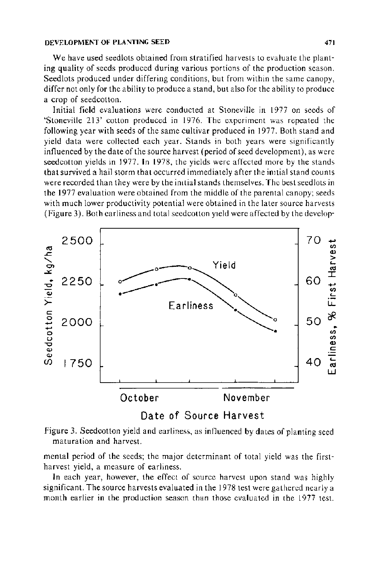#### DEVELOPMENT OF PLANTING SEED 471

We have used seedlots obtained from stratified harvests to evaluate the planting quality of seeds produced during various portions of the production season. Seedlots produced under differing conditions, but from within the same canopy, differ not only for the ability to produce a stand, but also for the ability to produce a crop of seedcotton.

Initial field evaluations were conducted at Stoneville in 1977 on seeds of 'Stoneville 213' cotton produced in 1976. The experiment was repeated the following year with seeds of the same cultivar produced in 1977. Both stand and yield data were collected each year. Stands in both years were significantly influenced by the date of the source harvest (period of seed development), as were seedcotton yields in 1977. In 1978, the yields were affected more by the stands that survived a hail storm that occurred immediately after the imtial stand counts were recorded than they were by the imtial stands themselves. The best seedlots in the 1977 evaluation were obtained from the middle of the parental canopy; seeds with much lower productivity potential were obtained in the later source harvests (Figure 3). Both carliness and total seedcotton yield were affected by the develop-



Date of Source Harvest



mental period of the seeds; the major determinant of total yield was the firstharvest yield, a measure of earliness.

In each year, however, the effect of source harvest upon stand was highly significant. The source harvests evaluated in the 1978 test were gathered nearly a month earlier in the production season than those evaluated in the 1977 test.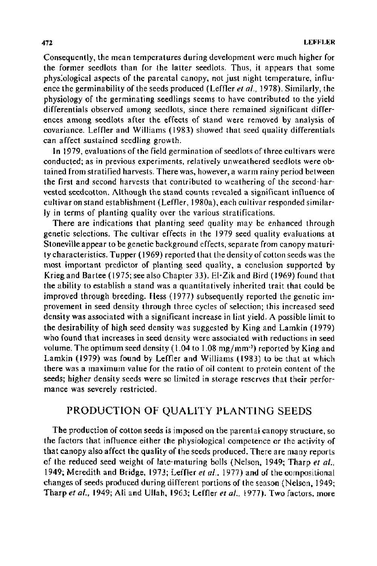Consequently, the mean temperatures during development were much higher for the former seedlots than for the latter seedlots. Thus, it appears that some phys:otogical aspects of the parental canopy, not just night temperature, influence the germinability of the seeds produced (Leffler *eta/.,* 1978). Similarly, the physiology of the germinating seedlings seems to have contributed to the yield differentials observed among seedlots, since there remained significant differences among seedlots after the effects of stand were removed by analysis of covariance. Leffler and Williams ( 1983) showed that seed quality differentials can affect sustained seedling growth.

In 1979, evaluations of the field germination of seed lots of three cultivars were conducted; as in previous experiments, relatively unweathered seedlots were obtained from stratified harvests. There was, however, a warm rainy period between the first and second harvests that contributed to weathering of the second-harvested seedcotton. Although the stand counts revealed a significant influence of cultivar on stand establishment (Leffler, 1980a), each cultivar responded similarly in terms of planting quality over the various stratifications.

There are indications that planting seed quality may be enhanced through genetic selections. The cultivar effects in the 1979 seed quality evaluations at Stoneville appear to be genetic background effects, separate from canopy maturity characteristics. Tupper ( 1969) reported that the density of cotton seeds was the most important predictor of planting seed quality, a conclusion supported by Krieg and Bartee ( 1975; see also Chapter 33). El-Zik and Bird ( 1969) found that the ability to establish a stand was a quantitatively inherited trait that could be improved through breeding. Hess ( 1977) subsequently reported the genetic improvement in seed density through three cycles of selection; this increased seed density was associated with a significant increase in lint yield. A possible limit to the desirability of high seed density was suggested by King and Lamkin ( 1979) who found that increases in seed density were associated with reductions in seed volume. The optimum seed density (1.04 to 1.08 mg/mm<sup>-3</sup>) reported by King and Lamkin (1979) was found by Leffler and Williams (1983) to be that at which there was a maximum value for the ratio of oil content to protein content of the seeds; higher density seeds were so limited in storage reserves that their performance was severely restricted.

# PRODUCTION OF QUALITY PLANTING SEEDS

The production of cotton seeds is imposed on the parental canopy structure, so the factors that influence either the physiological competence or the activity of that canopy also affect the quality of the seeds produced. There are many reports of the reduced seed weight of late-maturing bolls (Nelson, 1949; Tharp *et a/.,*  1949; Meredith and Bridge, 1973; Leffler *et al.*, 1977) and of the compositional changes of seeds produced during different portions of the season (Nelson, 1949; Tharp *eta/.,* 1949; Ali and Ullah, 1963; Leffler *eta/.,* 1977). Two factors, more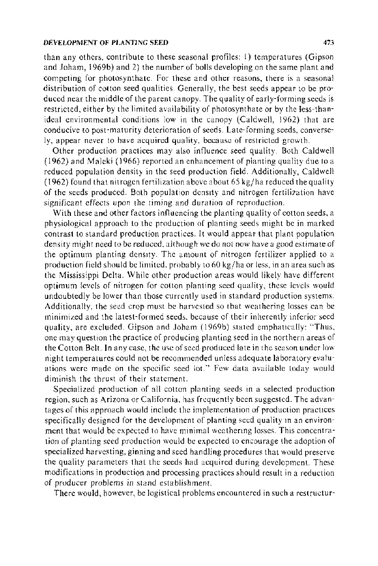#### DEVELOPMENT OF PLANTING SEED 473

than any others, contribute to these seasonal profiles: 1) temperatures (Gipson and Joham, 1969b) and 2) the number of bolls developing on the same plant and competing for photosynthate. For these and other reasons, there is a seasonal distribution of cotton seed qualities. Generally, the best seeds appear to be produced near the middle of the parent canopy. The quality of early-forming seeds is restricted, either by the limited availability of photosynthate or by the less-thanideal environmental conditions low in the canopy (Caldwell, 1962) that are conducive to post-maturity deterioration of seeds. Late-forming seeds, conversely, appear never to have acquired quality, because of restricted growth.

Other production practices may also influence seed quality. Both Caldwell  $(1962)$  and Maleki (1966) reported an enhancement of planting quality due to a reduced population density in the seed production field. Additionally, Caldwell (1962) found that nitrogen fertilization above about  $65 \text{ kg/ha}$  reduced the quality of the seeds produced. Both population density and nitrogen fertilization have significant effects upon *the* timing and duration of reproduction.

With these and other factors influencing the planting quality of cotton seeds, a physiological approach to the production of planting seeds might be in marked contrast to standard production practices. It would appear that plant population density might need to be reduced, although we do not now have a good estimate of the optimum planting density. The amount of nitrogen fertilizer applied to a production field should be limited, probably to 60 kg/ha or less, in an area such as the Mississippi Delta. While other production areas would likely have different optimum levels of nitrogen for cotton planting seed quality, these levels would undoubtedly be lower than those currently used in standard production systems. Additionally, the seed crop must be harvested so that weathering losses can be minimized and the latest-formed seeds. because of their inherently inferior seed quality, are excluded. Gipson and Joham (1969b) stated emphatically: "Thus, one may question the practice of producing planting seed in the northern areas of the Cotton Belt. In any case, the use of seed produced late in the season under low night temperatures could not be recommended unless adequate laboratory evaluations were made on the specific seed Jot." Few data available today would diminish the thrust of their statement.

Specialized production of all cotton planting seeds in a selected production region, such as Arizona or California, has frequently been suggested. The advantages of this approach would include the implementation of production practtces specifically designed for the development of planting seed quality m an environment that would be expected to have minimal weathenng losses. This concentration of planting seed production would be expected to encourage the adoption of specialized harvesting, ginning and seed handling procedures that would preserve the quality parameters that the seeds had acquired during development. These modifications in production and processing practices should result in a reduction of producer problems in stand establishment.

There would, however, be logistical problems encountered in such a restructur-